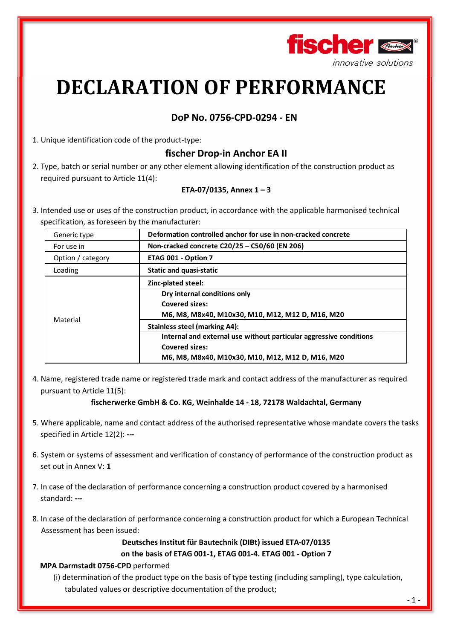

# **DECLARATION OF PERFORMANCE**

## **DoP No. 0756-CPD-0294 - EN**

1. Unique identification code of the product-type:

# **fischer Drop-in Anchor EA II**

2. Type, batch or serial number or any other element allowing identification of the construction product as required pursuant to Article 11(4):

## **ETA-07/0135, Annex 1 – 3**

3. Intended use or uses of the construction product, in accordance with the applicable harmonised technical specification, as foreseen by the manufacturer:

| Generic type      | Deformation controlled anchor for use in non-cracked concrete                                                                                                                           |  |  |
|-------------------|-----------------------------------------------------------------------------------------------------------------------------------------------------------------------------------------|--|--|
| For use in        | Non-cracked concrete C20/25 - C50/60 (EN 206)                                                                                                                                           |  |  |
| Option / category | ETAG 001 - Option 7                                                                                                                                                                     |  |  |
| Loading           | <b>Static and quasi-static</b>                                                                                                                                                          |  |  |
| Material          | Zinc-plated steel:<br>Dry internal conditions only<br><b>Covered sizes:</b><br>M6, M8, M8x40, M10x30, M10, M12, M12 D, M16, M20                                                         |  |  |
|                   | <b>Stainless steel (marking A4):</b><br>Internal and external use without particular aggressive conditions<br><b>Covered sizes:</b><br>M6, M8, M8x40, M10x30, M10, M12, M12 D, M16, M20 |  |  |

4. Name, registered trade name or registered trade mark and contact address of the manufacturer as required pursuant to Article 11(5):

## **fischerwerke GmbH & Co. KG, Weinhalde 14 - 18, 72178 Waldachtal, Germany**

- 5. Where applicable, name and contact address of the authorised representative whose mandate covers the tasks specified in Article 12(2): **---**
- 6. System or systems of assessment and verification of constancy of performance of the construction product as set out in Annex V: **1**
- 7. In case of the declaration of performance concerning a construction product covered by a harmonised standard: **---**
- 8. In case of the declaration of performance concerning a construction product for which a European Technical Assessment has been issued:

**Deutsches Institut für Bautechnik (DIBt) issued ETA-07/0135 on the basis of ETAG 001-1, ETAG 001-4. ETAG 001 - Option 7** 

#### **MPA Darmstadt 0756-CPD** performed

(i) determination of the product type on the basis of type testing (including sampling), type calculation, tabulated values or descriptive documentation of the product;